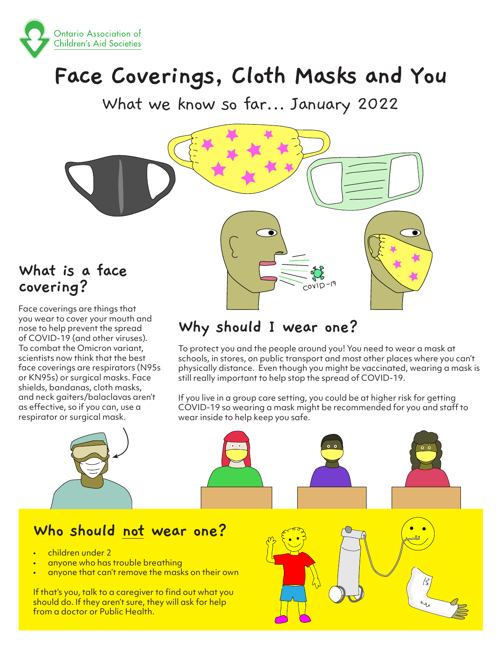

# **Face Coverings, Cloth Masks and You**

What we know so far... January 2022



## **What is a face covering?**

Face coverings are things that you wear to cover your mouth and nose to help prevent the spread of COVID-19 (and other viruses). To combat the Omicron variant, scientists now think that the best face coverings are respirators (N95s or KN95s) or surgical masks. Face shields, bandanas, cloth masks, and neck gaiters/balaclavas aren't as effective, so if you can, use a respirator or surgical mask.

# **Why should I wear one?**

To protect you and the people around you! You need to wear a mask at schools, in stores, on public transport and most other places where you can't physically distance. Even though you might be vaccinated, wearing a mask is still really important to help stop the spread of COVID-19.

If you live in a group care setting, you could be at higher risk for getting COVID-19 so wearing a mask might be recommended for you and staff to wear inside to help keep you safe.

# **Who should not wear one?**

- children under 2
- anyone who has trouble breathing
- anyone that can't remove the masks on their own

If that's you, talk to a caregiver to find out what you should do. If they aren't sure, they will ask for help from a doctor or Public Health.